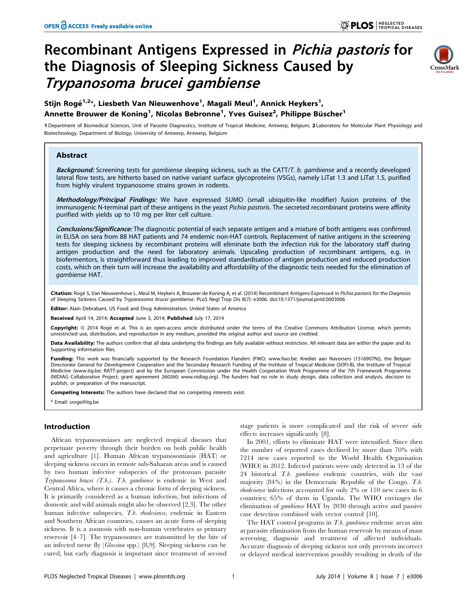# Recombinant Antigens Expressed in Pichia pastoris for the Diagnosis of Sleeping Sickness Caused by Trypanosoma brucei gambiense



## Stijn Rogé<sup>1,2</sup>\*, Liesbeth Van Nieuwenhove<sup>1</sup>, Magali Meul<sup>1</sup>, Annick Heykers<sup>1</sup>, Annette Brouwer de Koning<sup>1</sup>, Nicolas Bebronne<sup>1</sup>, Yves Guisez<sup>2</sup>, Philippe Büscher<sup>1</sup>

1 Department of Biomedical Sciences, Unit of Parasite Diagnostics, Institute of Tropical Medicine, Antwerp, Belgium, 2 Laboratory for Molecular Plant Physiology and Biotechnology, Department of Biology, University of Antwerp, Antwerp, Belgium

## Abstract

Background: Screening tests for gambiense sleeping sickness, such as the CATT/T. b. gambiense and a recently developed lateral flow tests, are hitherto based on native variant surface glycoproteins (VSGs), namely LiTat 1.3 and LiTat 1.5, purified from highly virulent trypanosome strains grown in rodents.

Methodology/Principal Findings: We have expressed SUMO (small ubiquitin-like modifier) fusion proteins of the immunogenic N-terminal part of these antigens in the yeast Pichia pastoris. The secreted recombinant proteins were affinity purified with yields up to 10 mg per liter cell culture.

Conclusions/Significance: The diagnostic potential of each separate antigen and a mixture of both antigens was confirmed in ELISA on sera from 88 HAT patients and 74 endemic non-HAT controls. Replacement of native antigens in the screening tests for sleeping sickness by recombinant proteins will eliminate both the infection risk for the laboratory staff during antigen production and the need for laboratory animals. Upscaling production of recombinant antigens, e.g. in biofermentors, is straightforward thus leading to improved standardisation of antigen production and reduced production costs, which on their turn will increase the availability and affordability of the diagnostic tests needed for the elimination of gambiense HAT.

Citation: Rogé S, Van Nieuwenhove L, Meul M, Heykers A, Brouwer de Koning A, et al. (2014) Recombinant Antigens Expressed in Pichia pastoris for the Diagnosis of Sleeping Sickness Caused by Trypanosoma brucei gambiense. PLoS Negl Trop Dis 8(7): e3006. doi:10.1371/journal.pntd.0003006

ditor: Alain Debrabant, US Food and Drug Administration, United States of America

Received April 14, 2014; Accepted June 3, 2014; Published July 17, 2014

Copyright: © 2014 Rogé et al. This is an open-access article distributed under the terms of the [Creative Commons Attribution License,](http://creativecommons.org/licenses/by/4.0/) which permits unrestricted use, distribution, and reproduction in any medium, provided the original author and source are credited.

Data Availability: The authors confirm that all data underlying the findings are fully available without restriction. All relevant data are within the paper and its Supporting information files.

Funding: This work was financially supported by the Research Foundation Flanders (FWO;<www.fwo.be>; Krediet aan Navorsers (1516907N)), the Belgian Directorate General for Development Cooperation and the Secondary Research Funding of the Institute of Tropical Medicine (SOFI-B), the Institute of Tropical Medicine [\(www.itg.be;](www.itg.be) RATT-project) and by the European Commission under the Health Cooperation Work Programme of the 7th Framework Programme (NIDIAG Collaborative Project; grant agreement 260260;<www.nidiag.org>). The funders had no role in study design, data collection and analysis, decision to publish, or preparation of the manuscript.

Competing Interests: The authors have declared that no competing interests exist.

\* Email: sroge@itg.be

## Introduction

African trypanosomiases are neglected tropical diseases that perpetuate poverty through their burden on both public health and agriculture [1]. Human African trypanosomiasis (HAT) or sleeping sickness occurs in remote sub-Saharan areas and is caused by two human infective subspecies of the protozoan parasite Trypanosoma brucei (T.b.). T.b. gambiense is endemic in West and Central Africa, where it causes a chronic form of sleeping sickness. It is primarily considered as a human infection, but infections of domestic and wild animals might also be observed [2,3]. The other human infective subspecies, T.b. rhodesiense, endemic in Eastern and Southern African countries, causes an acute form of sleeping sickness. It is a zoonosis with non-human vertebrates as primary reservoir [4–7]. The trypanosomes are transmitted by the bite of an infected tsetse fly (Glossina spp.) [8,9]. Sleeping sickness can be cured, but early diagnosis is important since treatment of second

stage patients is more complicated and the risk of severe side effects increases significantly [8].

In 2001, efforts to eliminate HAT were intensified. Since then the number of reported cases declined by more than 70% with 7214 new cases reported to the World Health Organisation (WHO) in 2012. Infected patients were only detected in 13 of the 24 historical T.b. gambiense endemic countries, with the vast majority (84%) in the Democratic Republic of the Congo. T.b. rhodesiense infections accounted for only 2% or 110 new cases in 6 countries; 65% of them in Uganda. The WHO envisages the elimination of gambiense HAT by 2030 through active and passive case detection combined with vector control [10].

The HAT control programs in T.b. gambiense endemic areas aim at parasite elimination from the human reservoir by means of mass screening, diagnosis and treatment of affected individuals. Accurate diagnosis of sleeping sickness not only prevents incorrect or delayed medical intervention possibly resulting in death of the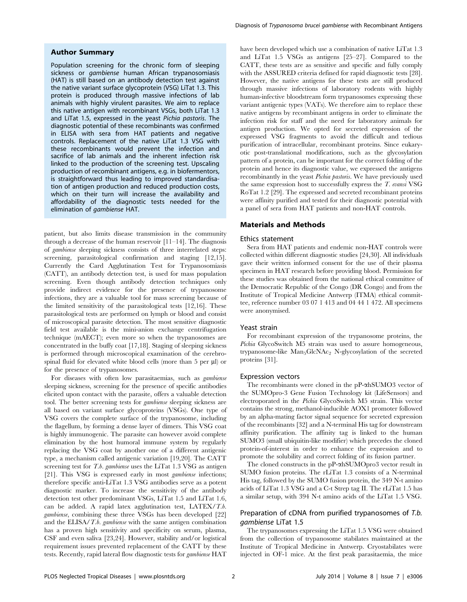#### Author Summary

Population screening for the chronic form of sleeping sickness or *gambiense* human African trypanosomiasis (HAT) is still based on an antibody detection test against the native variant surface glycoprotein (VSG) LiTat 1.3. This protein is produced through massive infections of lab animals with highly virulent parasites. We aim to replace this native antigen with recombinant VSGs, both LiTat 1.3 and LiTat 1.5, expressed in the yeast Pichia pastoris. The diagnostic potential of these recombinants was confirmed in ELISA with sera from HAT patients and negative controls. Replacement of the native LiTat 1.3 VSG with these recombinants would prevent the infection and sacrifice of lab animals and the inherent infection risk linked to the production of the screening test. Upscaling production of recombinant antigens, e.g. in biofermentors, is straightforward thus leading to improved standardisation of antigen production and reduced production costs, which on their turn will increase the availability and affordability of the diagnostic tests needed for the elimination of gambiense HAT.

patient, but also limits disease transmission in the community through a decrease of the human reservoir [11–14]. The diagnosis of gambiense sleeping sickness consists of three interrelated steps: screening, parasitological confirmation and staging [12,15]. Currently the Card Agglutination Test for Trypanosomiasis (CATT), an antibody detection test, is used for mass population screening. Even though antibody detection techniques only provide indirect evidence for the presence of trypanosome infections, they are a valuable tool for mass screening because of the limited sensitivity of the parasitological tests [12,16]. These parasitological tests are performed on lymph or blood and consist of microscopical parasite detection. The most sensitive diagnostic field test available is the mini-anion exchange centrifugation technique (mAECT); even more so when the trypanosomes are concentrated in the buffy coat [17,18]. Staging of sleeping sickness is performed through microscopical examination of the cerebrospinal fluid for elevated white blood cells (more than  $5$  per  $\mu$ l) or for the presence of trypanosomes.

For diseases with often low parasitaemias, such as gambiense sleeping sickness, screening for the presence of specific antibodies elicited upon contact with the parasite, offers a valuable detection tool. The better screening tests for gambiense sleeping sickness are all based on variant surface glycoproteins (VSGs). One type of VSG covers the complete surface of the trypanosome, including the flagellum, by forming a dense layer of dimers. This VSG coat is highly immunogenic. The parasite can however avoid complete elimination by the host humoral immune system by regularly replacing the VSG coat by another one of a different antigenic type, a mechanism called antigenic variation [19,20]. The CATT screening test for T.b. gambiense uses the LiTat 1.3 VSG as antigen [21]. This VSG is expressed early in most *gambiense* infections; therefore specific anti-LiTat 1.3 VSG antibodies serve as a potent diagnostic marker. To increase the sensitivity of the antibody detection test other predominant VSGs, LiTat 1.5 and LiTat 1.6, can be added. A rapid latex agglutination test, LATEX/T.b. gambiense, combining these three VSGs has been developed [22] and the ELISA/T.b. gambiense with the same antigen combination has a proven high sensitivity and specificity on serum, plasma, CSF and even saliva [23,24]. However, stability and/or logistical requirement issues prevented replacement of the CATT by these tests. Recently, rapid lateral flow diagnostic tests for gambiense HAT

have been developed which use a combination of native LiTat 1.3 and LiTat 1.5 VSGs as antigens [25–27]. Compared to the CATT, these tests are as sensitive and specific and fully comply with the ASSURED criteria defined for rapid diagnostic tests [28]. However, the native antigens for these tests are still produced through massive infections of laboratory rodents with highly human-infective bloodstream form trypanosomes expressing these variant antigenic types (VATs). We therefore aim to replace these native antigens by recombinant antigens in order to eliminate the infection risk for staff and the need for laboratory animals for antigen production. We opted for secreted expression of the expressed VSG fragments to avoid the difficult and tedious purification of intracellular, recombinant proteins. Since eukaryotic post-translational modifications, such as the glycosylation pattern of a protein, can be important for the correct folding of the protein and hence its diagnostic value, we expressed the antigens recombinantly in the yeast Pichia pastoris. We have previously used the same expression host to successfully express the T. evansi VSG RoTat 1.2 [29]. The expressed and secreted recombinant proteins were affinity purified and tested for their diagnostic potential with a panel of sera from HAT patients and non-HAT controls.

## Materials and Methods

#### Ethics statement

Sera from HAT patients and endemic non-HAT controls were collected within different diagnostic studies [24,30]. All individuals gave their written informed consent for the use of their plasma specimen in HAT research before providing blood. Permission for these studies was obtained from the national ethical committee of the Democratic Republic of the Congo (DR Congo) and from the Institute of Tropical Medicine Antwerp (ITMA) ethical committee, reference number 03 07 1 413 and 04 44 1 472. All specimens were anonymised.

## Yeast strain

For recombinant expression of the trypanosome proteins, the Pichia GlycoSwitch M5 strain was used to assure homogeneous, trypanosome-like  $Man_5GlcNAc_2$  N-glycosylation of the secreted proteins [31].

#### Expression vectors

The recombinants were cloned in the pP-ahSUMO3 vector of the SUMOpro-3 Gene Fusion Technology kit (LifeSensors) and electroporated in the Pichia GlycoSwitch M5 strain. This vector contains the strong, methanol-inducible AOX1 promoter followed by an alpha-mating factor signal sequence for secreted expression of the recombinants [32] and a N-terminal His tag for downstream affinity purification. The affinity tag is linked to the human SUMO3 (small ubiquitin-like modifier) which precedes the cloned protein-of-interest in order to enhance the expression and to promote the solubility and correct folding of its fusion partner.

The cloned constructs in the pP- $\alpha$ hSUMOpro3 vector result in SUMO fusion proteins. The rLiTat 1.3 consists of a N-terminal His tag, followed by the SUMO fusion protein, the 349 N-t amino acids of LiTat 1.3 VSG and a C-t Strep tag II. The rLiTat 1.5 has a similar setup, with 394 N-t amino acids of the LiTat 1.5 VSG.

## Preparation of cDNA from purified trypanosomes of T.b. gambiense LiTat 1.5

The trypanosomes expressing the LiTat 1.5 VSG were obtained from the collection of trypanosome stabilates maintained at the Institute of Tropical Medicine in Antwerp. Cryostabilates were injected in OF-1 mice. At the first peak parasitaemia, the mice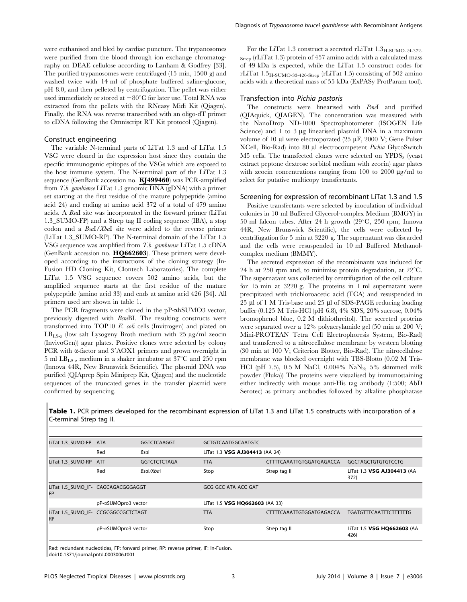were euthanised and bled by cardiac puncture. The trypanosomes were purified from the blood through ion exchange chromatography on DEAE cellulose according to Lanham & Godfrey [33]. The purified trypanosomes were centrifuged (15 min, 1500 g) and washed twice with 14 ml of phosphate buffered saline-glucose, pH 8.0, and then pelleted by centrifugation. The pellet was either used immediately or stored at  $-80^{\circ}$ C for later use. Total RNA was extracted from the pellets with the RNeasy Midi Kit (Qiagen). Finally, the RNA was reverse transcribed with an oligo-dT primer to cDNA following the Omniscript RT Kit protocol (Qiagen).

#### Construct engineering

The variable N-terminal parts of LiTat 1.3 and of LiTat 1.5 VSG were cloned in the expression host since they contain the specific immunogenic epitopes of the VSGs which are exposed to the host immune system. The N-terminal part of the LiTat 1.3 sequence (GenBank accession no. KJ499460) was PCR-amplified from T.b. gambiense LiTat 1.3 genomic DNA (gDNA) with a primer set starting at the first residue of the mature polypeptide (amino acid 24) and ending at amino acid 372 of a total of 479 amino acids. A BsaI site was incorporated in the forward primer (LiTat 1.3\_SUMO-FP) and a Strep tag II coding sequence (IBA), a stop codon and a BsaI/XbaI site were added to the reverse primer (LiTat 1.3\_SUMO-RP). The N-terminal domain of the LiTat 1.5 VSG sequence was amplified from T.b. gambiense LiTat 1.5 cDNA (GenBank accession no.  $HQ662603$ ). These primers were developed according to the instructions of the cloning strategy (In-Fusion HD Cloning Kit, Clontech Laboratories). The complete LiTat 1.5 VSG sequence covers 502 amino acids, but the amplified sequence starts at the first residue of the mature polypeptide (amino acid 33) and ends at amino acid 426 [34]. All primers used are shown in table 1.

The PCR fragments were cloned in the pP- $\alpha$ hSUMO3 vector, previously digested with BsmBI. The resulting constructs were transformed into TOP10 E. coli cells (Invitrogen) and plated on  $LB_{LS-z}$  (low salt Lysogeny Broth medium with 25  $\mu$ g/ml zeocin (InvivoGen)) agar plates. Positive clones were selected by colony PCR with  $\alpha$ -factor and  $3'AOX1$  primers and grown overnight in 5 ml  $LB_{LS-z}$  medium in a shaker incubator at 37 $\mathrm{^{\circ}C}$  and 250 rpm (Innova 44R, New Brunswick Scientific). The plasmid DNA was purified (QIAprep Spin Miniprep Kit, Qiagen) and the nucleotide sequences of the truncated genes in the transfer plasmid were confirmed by sequencing.

For the LiTat 1.3 construct a secreted rLiTat  $1.3<sub>H-SUMO-24-372-</sub>$ Strep (rLiTat 1.3) protein of 457 amino acids with a calculated mass of 49 kDa is expected, while the LiTat 1.5 construct codes for rLiTat  $1.5<sub>H-SUMO-33-426-Strop</sub>$  (rLiTat 1.5) consisting of 502 amino acids with a theoretical mass of 55 kDa (ExPASy ProtParam tool).

## Transfection into Pichia pastoris

The constructs were linearised with PmeI and purified (QIAquick, QIAGEN). The concentration was measured with the NanoDrop ND-1000 Spectrophotometer (ISOGEN Life Science) and 1 to 3 µg linearised plasmid DNA in a maximum volume of 10 µl were electroporated (25  $\mu$ F, 2000 V; Gene Pulser XCell, Bio-Rad) into 80 µl electrocompetent Pichia GlycoSwitch  $M5$  cells. The transfected clones were selected on  $YPDS<sub>z</sub>$  (yeast extract peptone dextrose sorbitol medium with zeocin) agar plates with zeocin concentrations ranging from 100 to 2000  $\mu$ g/ml to select for putative multicopy transfectants.

#### Screening for expression of recombinant LiTat 1.3 and 1.5

Positive transfectants were selected by inoculation of individual colonies in 10 ml Buffered Glycerol-complex Medium (BMGY) in 50 ml falcon tubes. After 24 h growth  $(29^{\circ}C, 250$  rpm; Innova 44R, New Brunswick Scientific), the cells were collected by centrifugation for 5 min at 3220 g. The supernatant was discarded and the cells were resuspended in 10 ml Buffered Methanolcomplex medium (BMMY).

The secreted expression of the recombinants was induced for 24 h at 250 rpm and, to minimise protein degradation, at  $22^{\circ}$ C. The supernatant was collected by centrifugation of the cell culture for 15 min at 3220 g. The proteins in 1 ml supernatant were precipitated with trichloroacetic acid (TCA) and resuspended in 25 µl of 1 M Tris-base and 25 µl of SDS-PAGE reducing loading buffer (0.125 M Tris-HCl (pH 6.8), 4% SDS, 20% sucrose, 0.04% bromophenol blue, 0.2 M dithiothreitol). The secreted proteins were separated over a 12% polyacrylamide gel (50 min at 200 V; Mini-PROTEAN Tetra Cell Electrophoresis System, Bio-Rad) and transferred to a nitrocellulose membrane by western blotting (30 min at 100 V; Criterion Blotter, Bio-Rad). The nitrocellulose membrane was blocked overnight with TBS-Blotto (0.02 M Tris-HCl (pH 7.5), 0.5 M NaCl, 0.004% NaN<sub>3</sub>, 5% skimmed milk powder (Fluka)) The proteins were visualised by immunostaining either indirectly with mouse anti-His tag antibody (1:500; AbD Serotec) as primary antibodies followed by alkaline phosphatase

| LiTat 1.3_SUMO-FP ATA              | <b>GGTCTCAAGGT</b>  | <b>GCTGTCAATGGCAATGTC</b>                                  |                          |                                    |  |
|------------------------------------|---------------------|------------------------------------------------------------|--------------------------|------------------------------------|--|
| Red                                | Bsal                | LiTat 1.3 VSG AJ304413 (AA 24)                             |                          |                                    |  |
| ATT                                | <b>GGTCTCTCTAGA</b> | <b>TTA</b>                                                 | CTTTTCAAATTGTGGATGAGACCA | <b>GGCTAGCTGTGTGTCCTG</b>          |  |
| Red                                | Bsal/Xbal           | Stop                                                       | Strep tag II             | LiTat 1.3 VSG AJ304413 (AA<br>372) |  |
| LiTat 1.5 SUMO IF- CAGCAGACGGGAGGT |                     | GCG GCC ATA ACC GAT                                        |                          |                                    |  |
| pP-aSUMOpro3 vector                |                     | LiTat 1.5 VSG HQ662603 (AA 33)                             |                          |                                    |  |
|                                    |                     | <b>TTA</b>                                                 | CTTTTCAAATTGTGGATGAGACCA | <b>TGATGTTTCAATTTCTTTTTTG</b>      |  |
|                                    |                     | Stop                                                       | Strep tag II             | LiTat 1.5 VSG HQ662603 (AA<br>426) |  |
|                                    |                     | LiTat 1.5_SUMO_IF- CCGCGGCCGCTCTAGT<br>pP-aSUMOpro3 vector |                          |                                    |  |

Table 1. PCR primers developed for the recombinant expression of LiTat 1.3 and LiTat 1.5 constructs with incorporation of a C-terminal Strep tag II.

Red: redundant nucleotides, FP: forward primer, RP: reverse primer, IF: In-Fusion. doi:10.1371/journal.pntd.0003006.t001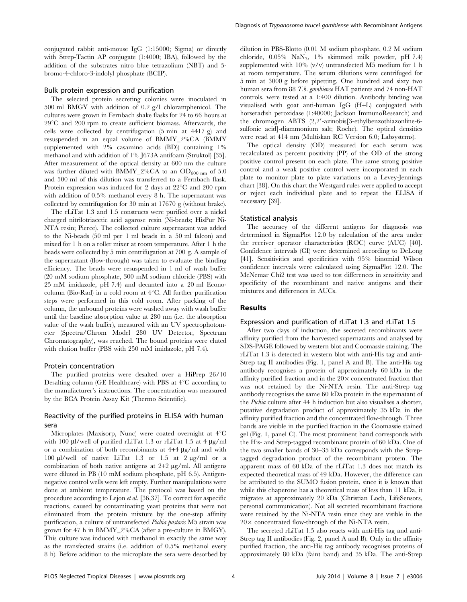conjugated rabbit anti-mouse IgG (1:15000; Sigma) or directly with Strep-Tactin AP conjugate (1:4000; IBA), followed by the addition of the substrates nitro blue tetrazolium (NBT) and 5 bromo-4-chloro-3-indolyl phosphate (BCIP).

#### Bulk protein expression and purification

The selected protein secreting colonies were inoculated in 500 ml BMGY with addition of 0.2 g/l chloramphenicol. The cultures were grown in Fernbach shake flasks for 24 to 66 hours at  $29^{\circ}$ C and  $200$  rpm to create sufficient biomass. Afterwards, the cells were collected by centrifugation (5 min at 4417 g) and resuspended in an equal volume of BMMY\_2%CA (BMMY supplemented with 2% casamino acids (BD)) containing 1% methanol and with addition of 1% J673A antifoam (Struktol) [35]. After measurement of the optical density at 600 nm the culture was further diluted with BMMY\_2%CA to an  $OD_{600 \text{ nm}}$  of 5.0 and 500 ml of this dilution was transferred to a Fernbach flask. Protein expression was induced for 2 days at  $22^{\circ}$ C and  $200$  rpm with addition of 0.5% methanol every 8 h. The supernatant was collected by centrifugation for 30 min at 17670 g (without brake).

The rLiTat 1.3 and 1.5 constructs were purified over a nickel charged nitrilotriacetic acid agarose resin (Ni-beads; HisPur Ni-NTA resin; Pierce). The collected culture supernatant was added to the Ni-beads (50 ml per 1 ml beads in a 50 ml falcon) and mixed for 1 h on a roller mixer at room temperature. After 1 h the beads were collected by 5 min centrifugation at 700 g. A sample of the supernatant (flow-through) was taken to evaluate the binding efficiency. The beads were resuspended in 1 ml of wash buffer (20 mM sodium phosphate, 300 mM sodium chloride (PBS) with 25 mM imidazole, pH 7.4) and decanted into a 20 ml Econocolumn (Bio-Rad) in a cold room at  $4^{\circ}$ C. All further purification steps were performed in this cold room. After packing of the column, the unbound proteins were washed away with wash buffer until the baseline absorption value at 280 nm (i.e. the absorption value of the wash buffer), measured with an UV spectrophotometer (Spectra/Chrom Model 280 UV Detector, Spectrum Chromatography), was reached. The bound proteins were eluted with elution buffer (PBS with 250 mM imidazole, pH 7.4).

#### Protein concentration

The purified proteins were desalted over a HiPrep 26/10 Desalting column (GE Healthcare) with PBS at  $4^{\circ}$ C according to the manufacturer's instructions. The concentration was measured by the BCA Protein Assay Kit (Thermo Scientific).

## Reactivity of the purified proteins in ELISA with human sera

Microplates (Maxisorp, Nunc) were coated overnight at 4°C with 100  $\mu$ l/well of purified rLiTat 1.3 or rLiTat 1.5 at 4  $\mu$ g/ml or a combination of both recombinants at  $4+4 \mu g/ml$  and with 100  $\mu$ l/well of native LiTat 1.3 or 1.5 at 2  $\mu$ g/ml or a combination of both native antigens at  $2+2 \mu g/ml$ . All antigens were diluted in PB (10 mM sodium phosphate, pH 6.5). Antigennegative control wells were left empty. Further manipulations were done at ambient temperature. The protocol was based on the procedure according to Lejon et al. [36,37]. To correct for aspecific reactions, caused by contaminating yeast proteins that were not eliminated from the protein mixture by the one-step affinity purification, a culture of untransfected Pichia pastoris M5 strain was grown for 47 h in BMMY\_2%CA (after a pre-culture in BMGY). This culture was induced with methanol in exactly the same way as the transfected strains (i.e. addition of 0.5% methanol every 8 h). Before addition to the microplate the sera were desorbed by

dilution in PBS-Blotto (0.01 M sodium phosphate, 0.2 M sodium chloride,  $0.05\%$  NaN<sub>3</sub>, 1% skimmed milk powder, pH 7.4) supplemented with 10% (v/v) untransfected M5 medium for 1 h at room temperature. The serum dilutions were centrifuged for 5 min at 3000 g before pipetting. One hundred and sixty two human sera from 88 T.b. gambiense HAT patients and 74 non-HAT controls, were tested at a 1:400 dilution. Antibody binding was visualised with goat anti-human IgG (H+L) conjugated with horseradish peroxidase (1:40000; Jackson ImmunoResearch) and the chromogen ABTS  $(2,2'-azinobis[3-ethylbenzothiazonline-6$ sulfonic acid]-diammonium salt; Roche). The optical densities were read at 414 nm (Multiskan RC Version 6.0; Labsystems).

The optical density (OD) measured for each serum was recalculated as percent positivity (PP) of the OD of the strong positive control present on each plate. The same strong positive control and a weak positive control were incorporated in each plate to monitor plate to plate variations on a Levey-Jennings chart [38]. On this chart the Westgard rules were applied to accept or reject each individual plate and to repeat the ELISA if necessary [39].

#### Statistical analysis

The accuracy of the different antigens for diagnosis was determined in SigmaPlot 12.0 by calculation of the area under the receiver operator characteristics (ROC) curve (AUC) [40]. Confidence intervals (CI) were determined according to DeLong [41]. Sensitivities and specificities with 95% binomial Wilson confidence intervals were calculated using SigmaPlot 12.0. The McNemar Chi2 test was used to test differences in sensitivity and specificity of the recombinant and native antigens and their mixtures and differences in AUCs.

#### Results

## Expression and purification of rLiTat 1.3 and rLiTat 1.5

After two days of induction, the secreted recombinants were affinity purified from the harvested supernatants and analysed by SDS-PAGE followed by western blot and Coomassie staining. The rLiTat 1.3 is detected in western blot with anti-His tag and anti-Strep tag II antibodies (Fig. 1, panel A and B). The anti-His tag antibody recognises a protein of approximately 60 kDa in the affinity purified fraction and in the  $20 \times$  concentrated fraction that was not retained by the Ni-NTA resin. The anti-Strep tag antibody recognises the same 60 kDa protein in the supernatant of the Pichia culture after 44 h induction but also visualises a shorter, putative degradation product of approximately 35 kDa in the affinity purified fraction and the concentrated flow-through. Three bands are visible in the purified fraction in the Coomassie stained gel (Fig. 1, panel C). The most prominent band corresponds with the His- and Strep-tagged recombinant protein of 60 kDa. One of the two smaller bands of 30–35 kDa corresponds with the Streptagged degradation product of the recombinant protein. The apparent mass of 60 kDa of the rLiTat 1.3 does not match its expected theoretical mass of 49 kDa. However, the difference can be attributed to the SUMO fusion protein, since it is known that while this chaperone has a theoretical mass of less than 11 kDa, it migrates at approximately 20 kDa (Christian Loch, LifeSensors, personal communication). Not all secreted recombinant fractions were retained by the Ni-NTA resin since they are visible in the  $20\times$  concentrated flow-through of the Ni-NTA resin.

The secreted rLiTat 1.5 also reacts with anti-His tag and anti-Strep tag II antibodies (Fig. 2, panel A and B). Only in the affinity purified fraction, the anti-His tag antibody recognises proteins of approximately 80 kDa (faint band) and 35 kDa. The anti-Strep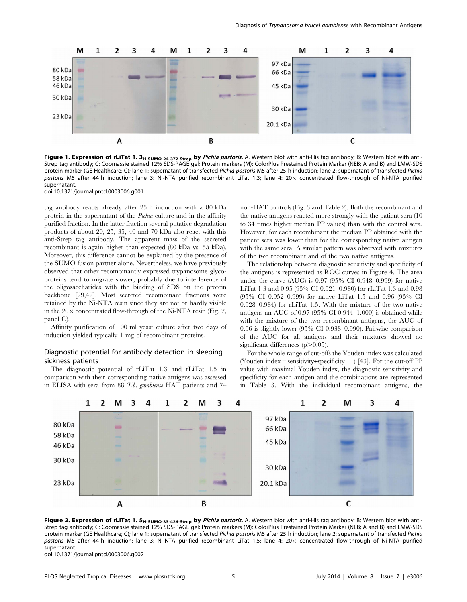

Figure 1. Expression of rLiTat 1. 3<sub>H-SUMO-24-372-Strep</sub> by Pichia pastoris. A. Western blot with anti-His tag antibody; B: Western blot with anti-Strep tag antibody; C: Coomassie stained 12% SDS-PAGE gel; Protein markers (M): ColorPlus Prestained Protein Marker (NEB; A and B) and LMW-SDS protein marker (GE Healthcare; C); lane 1: supernatant of transfected Pichia pastoris M5 after 25 h induction; lane 2: supernatant of transfected Pichia pastoris M5 after 44 h induction; lane 3: Ni-NTA purified recombinant LiTat 1.3; lane 4: 20 x concentrated flow-through of Ni-NTA purified supernatant.

doi:10.1371/journal.pntd.0003006.g001

tag antibody reacts already after 25 h induction with a 80 kDa protein in the supernatant of the Pichia culture and in the affinity purified fraction. In the latter fraction several putative degradation products of about 20, 25, 35, 40 and 70 kDa also react with this anti-Strep tag antibody. The apparent mass of the secreted recombinant is again higher than expected (80 kDa vs. 55 kDa). Moreover, this difference cannot be explained by the presence of the SUMO fusion partner alone. Nevertheless, we have previously observed that other recombinantly expressed trypanosome glycoproteins tend to migrate slower, probably due to interference of the oligosaccharides with the binding of SDS on the protein backbone [29,42]. Most secreted recombinant fractions were retained by the Ni-NTA resin since they are not or hardly visible in the  $20 \times$  concentrated flow-through of the Ni-NTA resin (Fig. 2, panel C).

Affinity purification of 100 ml yeast culture after two days of induction yielded typically 1 mg of recombinant proteins.

## Diagnostic potential for antibody detection in sleeping sickness patients

The diagnostic potential of rLiTat 1.3 and rLiTat 1.5 in comparison with their corresponding native antigens was assessed in ELISA with sera from 88 T.b. gambiense HAT patients and 74 non-HAT controls (Fig. 3 and Table 2). Both the recombinant and the native antigens reacted more strongly with the patient sera (10 to 34 times higher median PP values) than with the control sera. However, for each recombinant the median PP obtained with the patient sera was lower than for the corresponding native antigen with the same sera. A similar pattern was observed with mixtures of the two recombinant and of the two native antigens.

The relationship between diagnostic sensitivity and specificity of the antigens is represented as ROC curves in Figure 4. The area under the curve (AUC) is 0.97 (95% CI 0.948–0.999) for native LiTat 1.3 and 0.95 (95% CI 0.921–0.980) for rLiTat 1.3 and 0.98 (95% CI 0.952–0.999) for native LiTat 1.5 and 0.96 (95% CI 0.928–0.984) for rLiTat 1.5. With the mixture of the two native antigens an AUC of 0.97 (95% CI 0.944–1.000) is obtained while with the mixture of the two recombinant antigens, the AUC of 0.96 is slightly lower (95% CI 0.938–0.990). Pairwise comparison of the AUC for all antigens and their mixtures showed no significant differences  $(p>0.05)$ .

For the whole range of cut-offs the Youden index was calculated (Youden index = sensitivity+specificity - 1) [43]. For the cut-off PP value with maximal Youden index, the diagnostic sensitivity and specificity for each antigen and the combinations are represented in Table 3. With the individual recombinant antigens, the



Figure 2. Expression of rLiTat 1. 5<sub>H-SUMO-33-426-Strep</sub> by Pichia pastoris. A. Western blot with anti-His tag antibody; B: Western blot with anti-Strep tag antibody; C: Coomassie stained 12% SDS-PAGE gel; Protein markers (M): ColorPlus Prestained Protein Marker (NEB; A and B) and LMW-SDS protein marker (GE Healthcare; C); lane 1: supernatant of transfected Pichia pastoris M5 after 25 h induction; lane 2: supernatant of transfected Pichia pastoris M5 after 44 h induction; lane 3: Ni-NTA purified recombinant LiTat 1.5; lane 4: 20 x concentrated flow-through of Ni-NTA purified supernatant.

doi:10.1371/journal.pntd.0003006.g002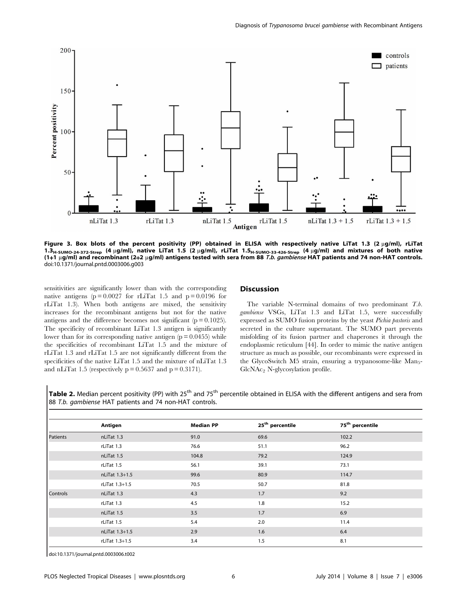

Figure 3. Box blots of the percent positivity (PP) obtained in ELISA with respectively native LiTat 1.3 (2 µg/ml), rLiTat 1.3<sub>H-SUMO-24-372-Strep</sub> (4 µg/ml), native LiTat 1.5 (2 µg/ml), rLiTat 1.5<sub>H-SUMO-33-426-Strep</sub> (4 µg/ml) and mixtures of both native (1+1  $\mu$ g/ml) and recombinant (2+2  $\mu$ g/ml) antigens tested with sera from 88 T.b. gambiense HAT patients and 74 non-HAT controls. doi:10.1371/journal.pntd.0003006.g003

sensitivities are significantly lower than with the corresponding native antigens ( $p = 0.0027$  for rLiTat 1.5 and  $p = 0.0196$  for rLiTat 1.3). When both antigens are mixed, the sensitivity increases for the recombinant antigens but not for the native antigens and the difference becomes not significant ( $p = 0.1025$ ). The specificity of recombinant LiTat 1.3 antigen is significantly lower than for its corresponding native antigen  $(p = 0.0455)$  while the specificities of recombinant LiTat 1.5 and the mixture of rLiTat 1.3 and rLiTat 1.5 are not significantly different from the specificities of the native LiTat 1.5 and the mixture of nLiTat 1.3 and nLiTat 1.5 (respectively  $p = 0.5637$  and  $p = 0.3171$ ).

#### **Discussion**

The variable N-terminal domains of two predominant T.b. gambiense VSGs, LiTat 1.3 and LiTat 1.5, were successfully expressed as SUMO fusion proteins by the yeast Pichia pastoris and secreted in the culture supernatant. The SUMO part prevents misfolding of its fusion partner and chaperones it through the endoplasmic reticulum [44]. In order to mimic the native antigen structure as much as possible, our recombinants were expressed in the GlycoSwitch M5 strain, ensuring a trypanosome-like Man<sub>5</sub>-GlcNAc<sub>2</sub> N-glycosylation profile.

Table 2. Median percent positivity (PP) with 25<sup>th</sup> and 75<sup>th</sup> percentile obtained in ELISA with the different antigens and sera from 88 T.b. gambiense HAT patients and 74 non-HAT controls.

|                 | Antigen        | <b>Median PP</b> | 25 <sup>th</sup> percentile | 75 <sup>th</sup> percentile |
|-----------------|----------------|------------------|-----------------------------|-----------------------------|
| Patients        | nLiTat 1.3     | 91.0             | 69.6                        | 102.2                       |
|                 | rLiTat 1.3     | 76.6             | 51.1                        | 96.2                        |
|                 | nLiTat 1.5     | 104.8            | 79.2                        | 124.9                       |
|                 | rLiTat 1.5     | 56.1             | 39.1                        | 73.1                        |
|                 | nLiTat 1.3+1.5 | 99.6             | 80.9                        | 114.7                       |
|                 | rLiTat 1.3+1.5 | 70.5             | 50.7                        | 81.8                        |
| <b>Controls</b> | nLiTat 1.3     | 4.3              | 1.7                         | 9.2                         |
|                 | rLiTat 1.3     | 4.5              | 1.8                         | 15.2                        |
|                 | nLiTat 1.5     | 3.5              | 1.7                         | 6.9                         |
|                 | rLiTat 1.5     | 5.4              | 2.0                         | 11.4                        |
|                 | nLiTat 1.3+1.5 | 2.9              | 1.6                         | 6.4                         |
|                 | rLiTat 1.3+1.5 | 3.4              | 1.5                         | 8.1                         |

doi:10.1371/journal.pntd.0003006.t002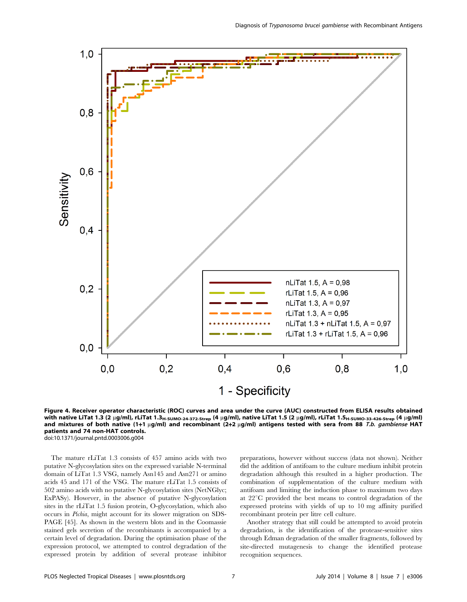

Figure 4. Receiver operator characteristic (ROC) curves and area under the curve (AUC) constructed from ELISA results obtained with native LiTat 1.3 (2 µg/ml), rLiTat 1.3<sub>H-SUMO-24-372-Strep</sub> (4 µg/ml), native LiTat 1.5 (2 µg/ml), rLiTat 1.5<sub>H-SUMO-33-426-Strep</sub> (4 µg/ml) and mixtures of both native (1+1  $\mu$ g/ml) and recombinant (2+2  $\mu$ g/ml) antigens tested with sera from 88 T.b. gambiense HAT patients and 74 non-HAT controls. doi:10.1371/journal.pntd.0003006.g004

The mature rLiTat 1.3 consists of 457 amino acids with two putative N-glycosylation sites on the expressed variable N-terminal domain of LiTat 1.3 VSG, namely Asn145 and Asn271 or amino acids 45 and 171 of the VSG. The mature rLiTat 1.5 consists of 502 amino acids with no putative N-glycosylation sites (NetNGlyc; ExPASy). However, in the absence of putative N-glycosylation sites in the rLiTat 1.5 fusion protein, O-glycosylation, which also occurs in Pichia, might account for its slower migration on SDS-PAGE [45]. As shown in the western blots and in the Coomassie stained gels secretion of the recombinants is accompanied by a certain level of degradation. During the optimisation phase of the expression protocol, we attempted to control degradation of the expressed protein by addition of several protease inhibitor preparations, however without success (data not shown). Neither did the addition of antifoam to the culture medium inhibit protein degradation although this resulted in a higher production. The combination of supplementation of the culture medium with antifoam and limiting the induction phase to maximum two days at  $22^{\circ}$ C provided the best means to control degradation of the expressed proteins with yields of up to 10 mg affinity purified recombinant protein per litre cell culture.

Another strategy that still could be attempted to avoid protein degradation, is the identification of the protease-sensitive sites through Edman degradation of the smaller fragments, followed by site-directed mutagenesis to change the identified protease recognition sequences.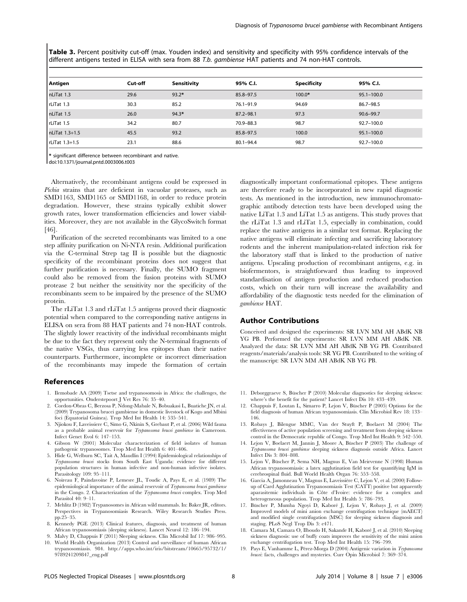Table 3. Percent positivity cut-off (max. Youden index) and sensitivity and specificity with 95% confidence intervals of the different antigens tested in ELISA with sera from 88 T.b. gambiense HAT patients and 74 non-HAT controls.

| Antigen        | Cut-off | Sensitivity | 95% C.I.      | <b>Specificity</b> | 95% C.I.       |
|----------------|---------|-------------|---------------|--------------------|----------------|
| nLiTat 1.3     | 29.6    | $93.2*$     | 85.8-97.5     | 100.0*             | $95.1 - 100.0$ |
| rLiTat 1.3     | 30.3    | 85.2        | $76.1 - 91.9$ | 94.69              | 86.7-98.5      |
| nLiTat 1.5     | 26.0    | $94.3*$     | $87.2 - 98.1$ | 97.3               | $90.6 - 99.7$  |
| rLiTat 1.5     | 34.2    | 80.7        | 70.9-88.3     | 98.7               | 92.7-100.0     |
| nLiTat 1.3+1.5 | 45.5    | 93.2        | $85.8 - 97.5$ | 100.0              | $95.1 - 100.0$ |
| rLiTat 1.3+1.5 | 23.1    | 88.6        | $80.1 - 94.4$ | 98.7               | 92.7-100.0     |

\* significant difference between recombinant and native.

doi:10.1371/journal.pntd.0003006.t003

Alternatively, the recombinant antigens could be expressed in Pichia strains that are deficient in vacuolar proteases, such as SMD1163, SMD1165 or SMD1168, in order to reduce protein degradation. However, these strains typically exhibit slower growth rates, lower transformation efficiencies and lower viabilities. Moreover, they are not available in the GlycoSwitch format [46].

Purification of the secreted recombinants was limited to a one step affinity purification on Ni-NTA resin. Additional purification via the C-terminal Strep tag II is possible but the diagnostic specificity of the recombinant proteins does not suggest that further purification is necessary. Finally, the SUMO fragment could also be removed from the fusion proteins with SUMO protease 2 but neither the sensitivity nor the specificity of the recombinants seem to be impaired by the presence of the SUMO protein.

The rLiTat 1.3 and rLiTat 1.5 antigens proved their diagnostic potential when compared to the corresponding native antigens in ELISA on sera from 88 HAT patients and 74 non-HAT controls. The slightly lower reactivity of the individual recombinants might be due to the fact they represent only the N-terminal fragments of the native VSGs, thus carrying less epitopes than their native counterparts. Furthermore, incomplete or incorrect dimerisation of the recombinants may impede the formation of certain

#### References

- 1. Ilemobade AA (2009) Tsetse and trypanosomosis in Africa: the challenges, the opportunities. Onderstepoort J Vet Res 76: 35–40.
- 2. Cordon-Obras C, Berzosa P, Ndong-Mabale N, Bobuakasi L, Buatiche JN, et al. (2009) Trypanosoma brucei gambiense in domestic livestock of Kogo and Mbini foci (Equatorial Guinea). Trop Med Int Health 14: 535–541.
- 3. Njiokou F, Laveissiere C, Simo G, Nkinin S, Grebaut P, et al. (2006) Wild fauna as a probable animal reservoir for Trypanosoma brucei gambiense in Cameroon. Infect Genet Evol 6: 147–153.
- 4. Gibson W (2001) Molecular characterization of field isolates of human pathogenic trypanosomes. Trop Med Int Health 6: 401–406.
- 5. Hide G, Welburn SC, Tait A, Maudlin I (1994) Epidemiological relationships of Trypanosoma brucei stocks from South East Uganda: evidence for different population structures in human infective and non-human infective isolates. Parasitology 109: 95–111.
- 6. Noireau F, Paindavoine P, Lemesre JL, Toudic A, Pays E, et al. (1989) The epidemiological importance of the animal reservoir of Trypanosoma brucei gambiense in the Congo. 2. Characterization of the Trypanosoma brucei complex. Trop Med Parasitol 40: 9–11.
- 7. Mehlitz D (1982) Trypanosomes in African wild mammals. In: Baker JR, editors. Perspectives in Trypanosomiasis Research. Wiley Research Studies Press. pp.25–35.
- 8. Kennedy PGE (2013) Clinical features, diagnosis, and treatment of human African trypanosomiasis (sleeping sickness). Lancet Neurol 12: 186–194.
- 9. Malvy D, Chappuis F (2011) Sleeping sickness. Clin Microbil Inf 17: 986–995. 10. World Health Organization (2013) Control and surveillance of human African trypanosomiasis. 984. [http://apps.who.int/iris/bitstream/10665/95732/1/](http://apps.who.int/iris/bitstream/10665/95732/1/9789241209847_eng.pdf) [9789241209847\\_eng.pdf](http://apps.who.int/iris/bitstream/10665/95732/1/9789241209847_eng.pdf)

diagnostically important conformational epitopes. These antigens are therefore ready to be incorporated in new rapid diagnostic tests. As mentioned in the introduction, new immunochromatographic antibody detection tests have been developed using the native LiTat 1.3 and LiTat 1.5 as antigens. This study proves that the rLiTat 1.3 and rLiTat 1.5, especially in combination, could replace the native antigens in a similar test format. Replacing the native antigens will eliminate infecting and sacrificing laboratory rodents and the inherent manipulation-related infection risk for the laboratory staff that is linked to the production of native antigens. Upscaling production of recombinant antigens, e.g. in biofermentors, is straightforward thus leading to improved standardisation of antigen production and reduced production costs, which on their turn will increase the availability and affordability of the diagnostic tests needed for the elimination of gambiense HAT.

#### Author Contributions

Conceived and designed the experiments: SR LVN MM AH ABdK NB YG PB. Performed the experiments: SR LVN MM AH ABdK NB. Analyzed the data: SR LVN MM AH ABdK NB YG PB. Contributed reagents/materials/analysis tools: SR YG PB. Contributed to the writing of the manuscript: SR LVN MM AH ABdK NB YG PB.

- 11. Deborggraeve S, Büscher P (2010) Molecular diagnostics for sleeping sickness: where's the benefit for the patient? Lancet Infect Dis 10: 433–439.
- 12. Chappuis F, Loutan L, Simarro P, Lejon V, Büscher P (2005) Options for the field diagnosis of human African trypanosomiasis. Clin Microbiol Rev 18: 133– 146.
- 13. Robays J, Bilengue MMC, Van der Stuyft P, Boelaert M (2004) The effectiveness of active population screening and treatment from sleeping sickness control in the Democratic republic of Congo. Trop Med Int Health 9: 542–550.
- 14. Lejon V, Boelaert M, Jannin J, Moore A, Büscher P (2003) The challenge of Trypanosoma brucei gambiense sleeping sickness diagnosis outside Africa. Lancet Infect Dis 3: 804–808.
- 15. Lejon V, Büscher P, Sema NH, Magnus E, Van Meirvenne N (1998) Human African trypanosomiasis: a latex agglutination field test for quantifying IgM in cerebrospinal fluid. Bull World Health Organ 76: 553–558.
- 16. Garcia A, Jamonneau V, Magnus E, Laveissière C, Lejon V, et al. (2000) Followup of Card Agglutination Trypanosomiasis Test (CATT) positive but apparently aparasitemic individuals in Côte d'Ivoire: evidence for a complex and heterogeneous population. Trop Med Int Health 5: 786–793.
- 17. Büscher P, Mumba Ngoyi D, Kaboré J, Lejon V, Robays J, et al. (2009) Improved models of mini anion exchange centrifugation technique (mAECT) and modified single centrifugation (MSC) for sleeping sickness diagnosis and staging. PLoS Negl Trop Dis 3: e471.
- 18. Camara M, Camara O, Ilboudo H, Sakande H, Kaboré J, et al. (2010) Sleeping sickness diagnosis: use of buffy coats improves the sensitivity of the mini anion exchange centrifugation test. Trop Med Int Health 15: 796–799.
- 19. Pays E, Vanhamme L, Pérez-Morga D (2004) Antigenic variation in Trypanosoma brucei: facts, challenges and mysteries. Curr Opin Microbiol 7: 369–374.